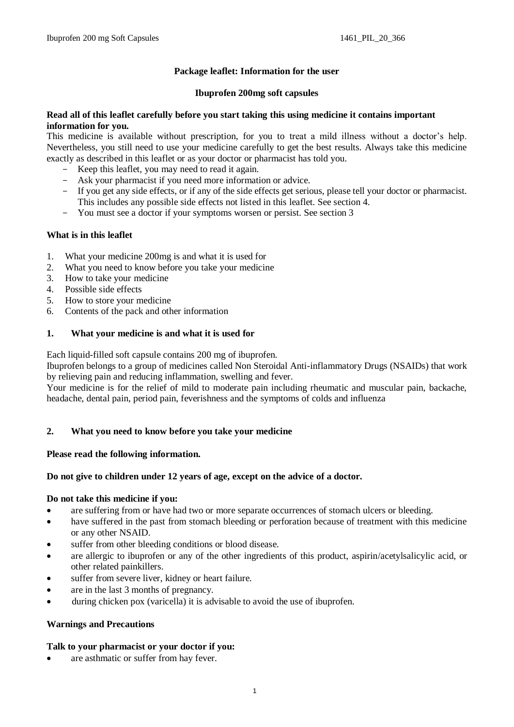## **Package leaflet: Information for the user**

### **Ibuprofen 200mg soft capsules**

#### **Read all of this leaflet carefully before you start taking this using medicine it contains important information for you.**

This medicine is available without prescription, for you to treat a mild illness without a doctor's help. Nevertheless, you still need to use your medicine carefully to get the best results. Always take this medicine exactly as described in this leaflet or as your doctor or pharmacist has told you.

- Keep this leaflet, you may need to read it again.
- Ask your pharmacist if you need more information or advice.
- If you get any side effects, or if any of the side effects get serious, please tell your doctor or pharmacist. This includes any possible side effects not listed in this leaflet. See section 4.
- You must see a doctor if your symptoms worsen or persist. See section 3

### **What is in this leaflet**

- 1. What your medicine 200mg is and what it is used for
- 2. What you need to know before you take your medicine
- 3. How to take your medicine
- 4. Possible side effects
- 5. How to store your medicine
- 6. Contents of the pack and other information

### **1. What your medicine is and what it is used for**

Each liquid-filled soft capsule contains 200 mg of ibuprofen.

Ibuprofen belongs to a group of medicines called Non Steroidal Anti-inflammatory Drugs (NSAIDs) that work by relieving pain and reducing inflammation, swelling and fever.

Your medicine is for the relief of mild to moderate pain including rheumatic and muscular pain, backache, headache, dental pain, period pain, feverishness and the symptoms of colds and influenza

### **2. What you need to know before you take your medicine**

### **Please read the following information.**

### **Do not give to children under 12 years of age, except on the advice of a doctor.**

### **Do not take this medicine if you:**

- are suffering from or have had two or more separate occurrences of stomach ulcers or bleeding.
- have suffered in the past from stomach bleeding or perforation because of treatment with this medicine or any other NSAID.
- suffer from other bleeding conditions or blood disease.
- are allergic to ibuprofen or any of the other ingredients of this product, aspirin/acetylsalicylic acid, or other related painkillers.
- suffer from severe liver, kidney or heart failure.
- are in the last 3 months of pregnancy.
- during chicken pox (varicella) it is advisable to avoid the use of ibuprofen.

## **Warnings and Precautions**

### **Talk to your pharmacist or your doctor if you:**

are asthmatic or suffer from hay fever.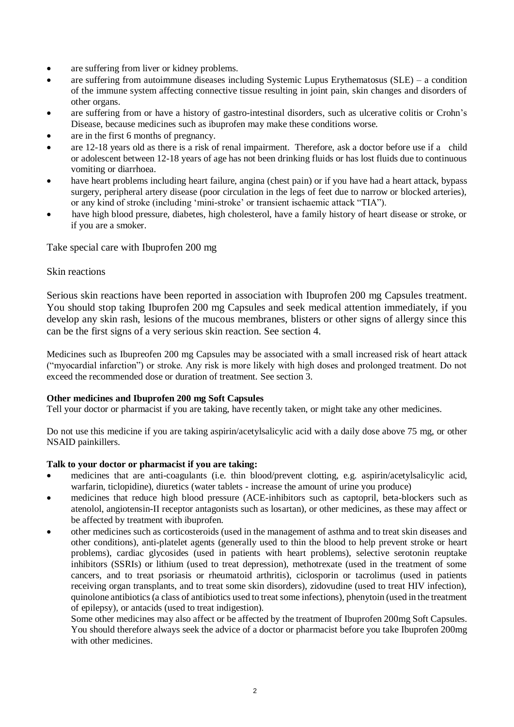- are suffering from liver or kidney problems.
- are suffering from autoimmune diseases including Systemic Lupus Erythematosus (SLE) a condition of the immune system affecting connective tissue resulting in joint pain, skin changes and disorders of other organs.
- are suffering from or have a history of gastro-intestinal disorders, such as ulcerative colitis or Crohn's Disease, because medicines such as ibuprofen may make these conditions worse.
- are in the first 6 months of pregnancy.
- are 12-18 years old as there is a risk of renal impairment. Therefore, ask a doctor before use if a child or adolescent between 12-18 years of age has not been drinking fluids or has lost fluids due to continuous vomiting or diarrhoea.
- have heart problems including heart failure, angina (chest pain) or if you have had a heart attack, bypass surgery, peripheral artery disease (poor circulation in the legs of feet due to narrow or blocked arteries), or any kind of stroke (including 'mini-stroke' or transient ischaemic attack "TIA").
- have high blood pressure, diabetes, high cholesterol, have a family history of heart disease or stroke, or if you are a smoker.

Take special care with Ibuprofen 200 mg

### Skin reactions

Serious skin reactions have been reported in association with Ibuprofen 200 mg Capsules treatment. You should stop taking Ibuprofen 200 mg Capsules and seek medical attention immediately, if you develop any skin rash, lesions of the mucous membranes, blisters or other signs of allergy since this can be the first signs of a very serious skin reaction. See section 4.

Medicines such as Ibupreofen 200 mg Capsules may be associated with a small increased risk of heart attack ("myocardial infarction") or stroke. Any risk is more likely with high doses and prolonged treatment. Do not exceed the recommended dose or duration of treatment. See section 3.

### **Other medicines and Ibuprofen 200 mg Soft Capsules**

Tell your doctor or pharmacist if you are taking, have recently taken, or might take any other medicines.

Do not use this medicine if you are taking aspirin/acetylsalicylic acid with a daily dose above 75 mg, or other NSAID painkillers.

### **Talk to your doctor or pharmacist if you are taking:**

- medicines that are anti-coagulants (i.e. thin blood/prevent clotting, e.g. aspirin/acetylsalicylic acid, warfarin, ticlopidine), diuretics (water tablets - increase the amount of urine you produce)
- medicines that reduce high blood pressure (ACE-inhibitors such as captopril, beta-blockers such as atenolol, angiotensin-II receptor antagonists such as losartan), or other medicines, as these may affect or be affected by treatment with ibuprofen.
- other medicines such as corticosteroids (used in the management of asthma and to treat skin diseases and other conditions), anti-platelet agents (generally used to thin the blood to help prevent stroke or heart problems), cardiac glycosides (used in patients with heart problems), selective serotonin reuptake inhibitors (SSRIs) or lithium (used to treat depression), methotrexate (used in the treatment of some cancers, and to treat psoriasis or rheumatoid arthritis), ciclosporin or tacrolimus (used in patients receiving organ transplants, and to treat some skin disorders), zidovudine (used to treat HIV infection), quinolone antibiotics (a class of antibiotics used to treat some infections), phenytoin (used in the treatment of epilepsy), or antacids (used to treat indigestion).

Some other medicines may also affect or be affected by the treatment of Ibuprofen 200mg Soft Capsules. You should therefore always seek the advice of a doctor or pharmacist before you take Ibuprofen 200mg with other medicines.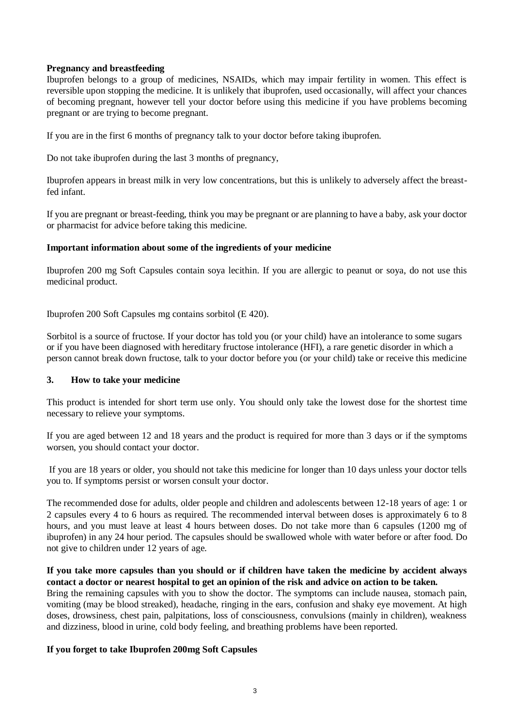### **Pregnancy and breastfeeding**

Ibuprofen belongs to a group of medicines, NSAIDs, which may impair fertility in women. This effect is reversible upon stopping the medicine. It is unlikely that ibuprofen, used occasionally, will affect your chances of becoming pregnant, however tell your doctor before using this medicine if you have problems becoming pregnant or are trying to become pregnant.

If you are in the first 6 months of pregnancy talk to your doctor before taking ibuprofen.

Do not take ibuprofen during the last 3 months of pregnancy,

Ibuprofen appears in breast milk in very low concentrations, but this is unlikely to adversely affect the breastfed infant.

If you are pregnant or breast-feeding, think you may be pregnant or are planning to have a baby, ask your doctor or pharmacist for advice before taking this medicine.

### **Important information about some of the ingredients of your medicine**

Ibuprofen 200 mg Soft Capsules contain soya lecithin. If you are allergic to peanut or soya, do not use this medicinal product.

Ibuprofen 200 Soft Capsules mg contains sorbitol (E 420).

Sorbitol is a source of fructose. If your doctor has told you (or your child) have an intolerance to some sugars or if you have been diagnosed with hereditary fructose intolerance (HFI), a rare genetic disorder in which a person cannot break down fructose, talk to your doctor before you (or your child) take or receive this medicine

### **3. How to take your medicine**

This product is intended for short term use only. You should only take the lowest dose for the shortest time necessary to relieve your symptoms.

If you are aged between 12 and 18 years and the product is required for more than 3 days or if the symptoms worsen, you should contact your doctor.

If you are 18 years or older, you should not take this medicine for longer than 10 days unless your doctor tells you to. If symptoms persist or worsen consult your doctor.

The recommended dose for adults, older people and children and adolescents between 12-18 years of age: 1 or 2 capsules every 4 to 6 hours as required. The recommended interval between doses is approximately 6 to 8 hours, and you must leave at least 4 hours between doses. Do not take more than 6 capsules (1200 mg of ibuprofen) in any 24 hour period. The capsules should be swallowed whole with water before or after food. Do not give to children under 12 years of age.

### **If you take more capsules than you should or if children have taken the medicine by accident always contact a doctor or nearest hospital to get an opinion of the risk and advice on action to be taken.**

Bring the remaining capsules with you to show the doctor. The symptoms can include nausea, stomach pain, vomiting (may be blood streaked), headache, ringing in the ears, confusion and shaky eye movement. At high doses, drowsiness, chest pain, palpitations, loss of consciousness, convulsions (mainly in children), weakness and dizziness, blood in urine, cold body feeling, and breathing problems have been reported.

## **If you forget to take Ibuprofen 200mg Soft Capsules**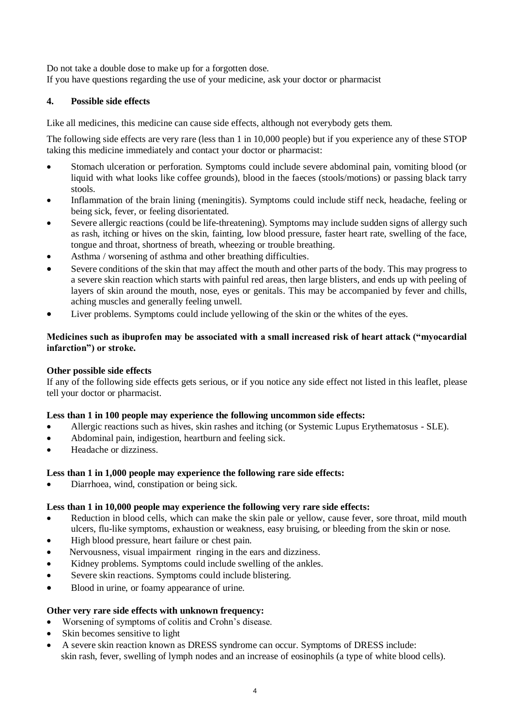Do not take a double dose to make up for a forgotten dose. If you have questions regarding the use of your medicine, ask your doctor or pharmacist

## **4. Possible side effects**

Like all medicines, this medicine can cause side effects, although not everybody gets them.

The following side effects are very rare (less than 1 in 10,000 people) but if you experience any of these STOP taking this medicine immediately and contact your doctor or pharmacist:

- Stomach ulceration or perforation. Symptoms could include severe abdominal pain, vomiting blood (or liquid with what looks like coffee grounds), blood in the faeces (stools/motions) or passing black tarry stools.
- Inflammation of the brain lining (meningitis). Symptoms could include stiff neck, headache, feeling or being sick, fever, or feeling disorientated.
- Severe allergic reactions (could be life-threatening). Symptoms may include sudden signs of allergy such as rash, itching or hives on the skin, fainting, low blood pressure, faster heart rate, swelling of the face, tongue and throat, shortness of breath, wheezing or trouble breathing.
- Asthma / worsening of asthma and other breathing difficulties.
- Severe conditions of the skin that may affect the mouth and other parts of the body. This may progress to a severe skin reaction which starts with painful red areas, then large blisters, and ends up with peeling of layers of skin around the mouth, nose, eyes or genitals. This may be accompanied by fever and chills, aching muscles and generally feeling unwell.
- Liver problems. Symptoms could include yellowing of the skin or the whites of the eyes.

## **Medicines such as ibuprofen may be associated with a small increased risk of heart attack ("myocardial infarction") or stroke.**

## **Other possible side effects**

If any of the following side effects gets serious, or if you notice any side effect not listed in this leaflet, please tell your doctor or pharmacist.

## **Less than 1 in 100 people may experience the following uncommon side effects:**

- Allergic reactions such as hives, skin rashes and itching (or Systemic Lupus Erythematosus SLE).
- Abdominal pain, indigestion, heartburn and feeling sick.
- Headache or dizziness.

# **Less than 1 in 1,000 people may experience the following rare side effects:**

Diarrhoea, wind, constipation or being sick.

## **Less than 1 in 10,000 people may experience the following very rare side effects:**

- Reduction in blood cells, which can make the skin pale or yellow, cause fever, sore throat, mild mouth ulcers, flu-like symptoms, exhaustion or weakness, easy bruising, or bleeding from the skin or nose.
- High blood pressure, heart failure or chest pain.
- Nervousness, visual impairment ringing in the ears and dizziness.
- Kidney problems. Symptoms could include swelling of the ankles.
- Severe skin reactions. Symptoms could include blistering.
- Blood in urine, or foamy appearance of urine.

## **Other very rare side effects with unknown frequency:**

- Worsening of symptoms of colitis and Crohn's disease.
- Skin becomes sensitive to light
- A severe skin reaction known as DRESS syndrome can occur. Symptoms of DRESS include: skin rash, fever, swelling of lymph nodes and an increase of eosinophils (a type of white blood cells).